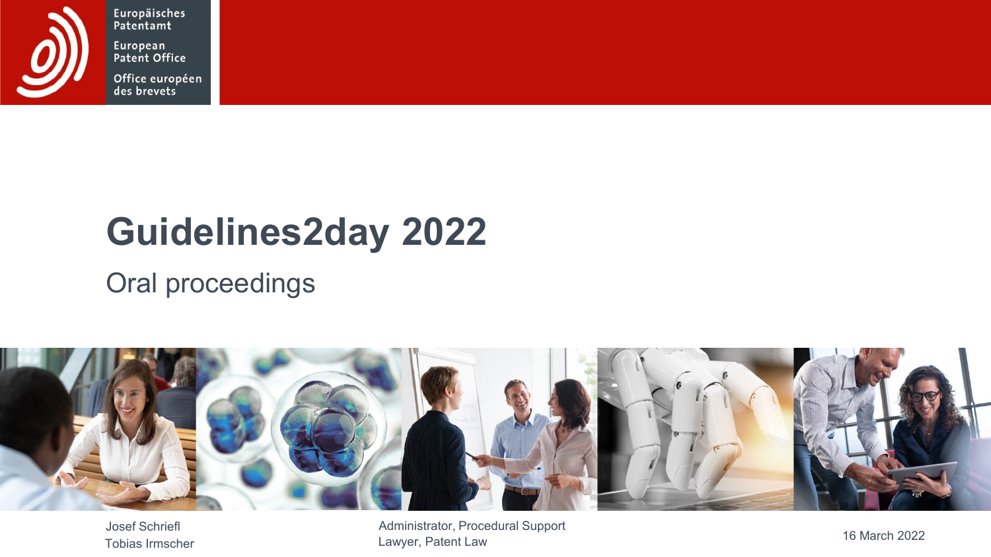

Europäisches Patentamt European<br>Patent Office

Office européen<br>des brevets

## **Guidelines2day 2022**

### Oral proceedings



Josef Schriefl 16 March 2022 Administrator, Procedural Support Lawyer, Patent Law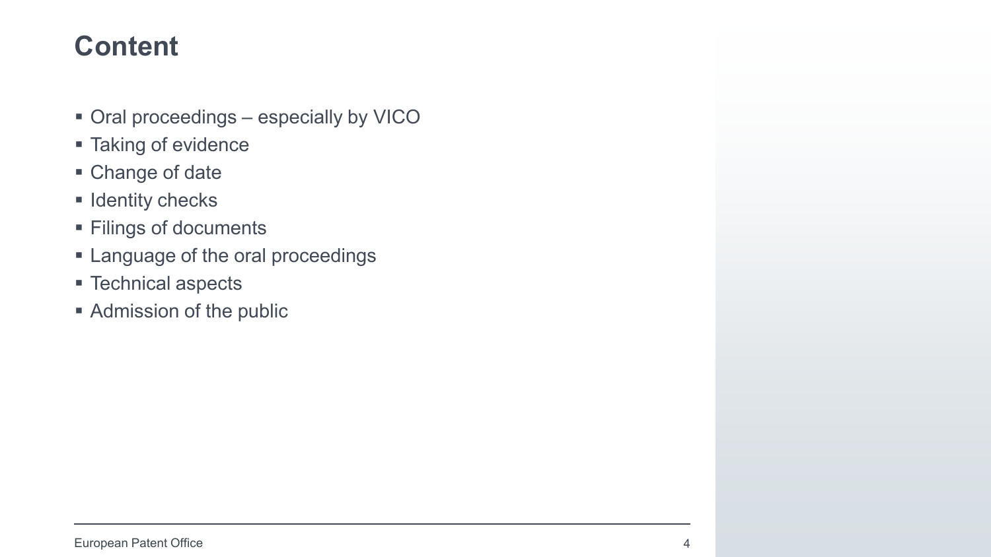- Oral proceedings especially by VICO
- **Taking of evidence**
- Change of date
- $\blacksquare$  Identity checks
- **Filings of documents**
- **Example 2** Language of the oral proceedings
- Technical aspects
- **Admission of the public**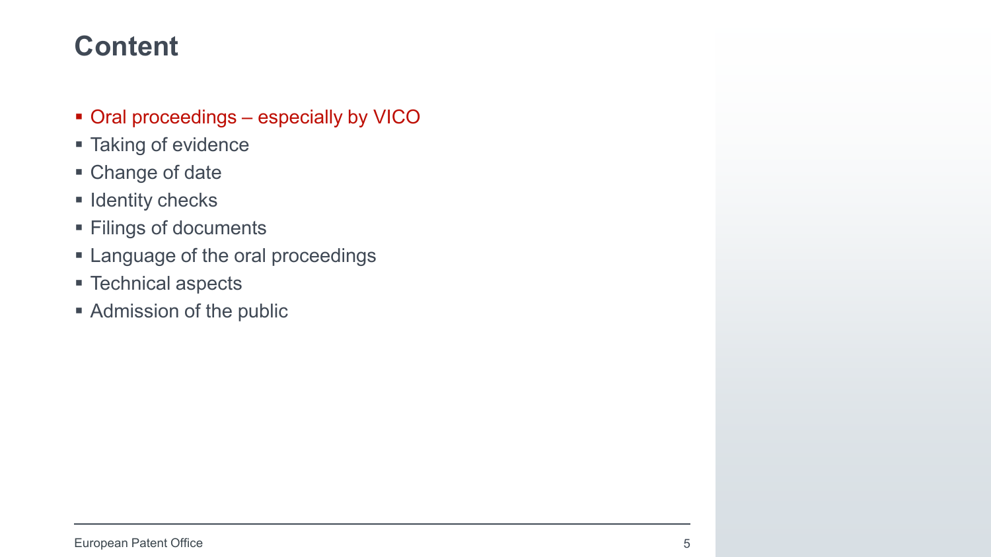- Oral proceedings especially by VICO
- **Taking of evidence**
- Change of date
- $\blacksquare$  Identity checks
- **Filings of documents**
- **Example 2** Language of the oral proceedings
- Technical aspects
- **Admission of the public**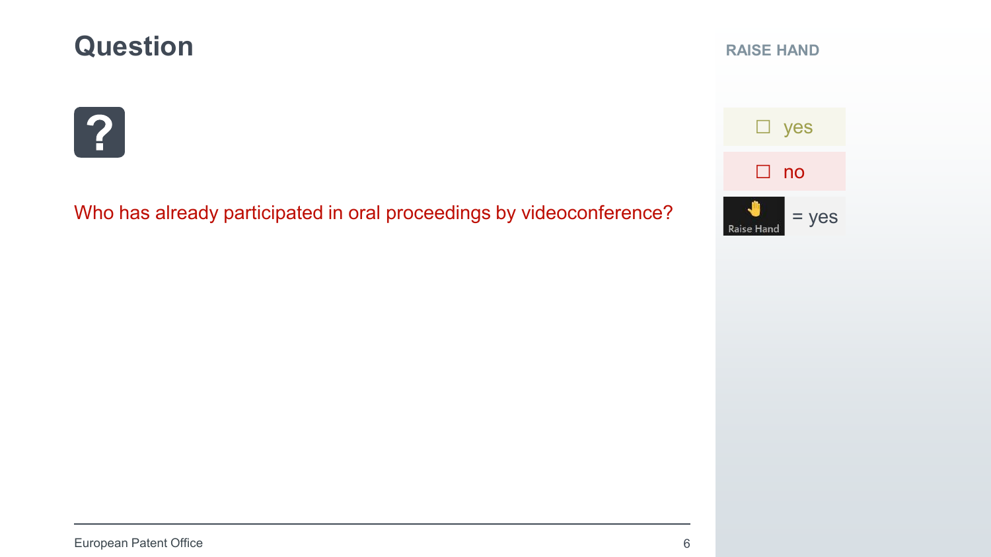### **Question**

# $\mathbf{?}$

Who has already participated in oral proceedings by videoconference?

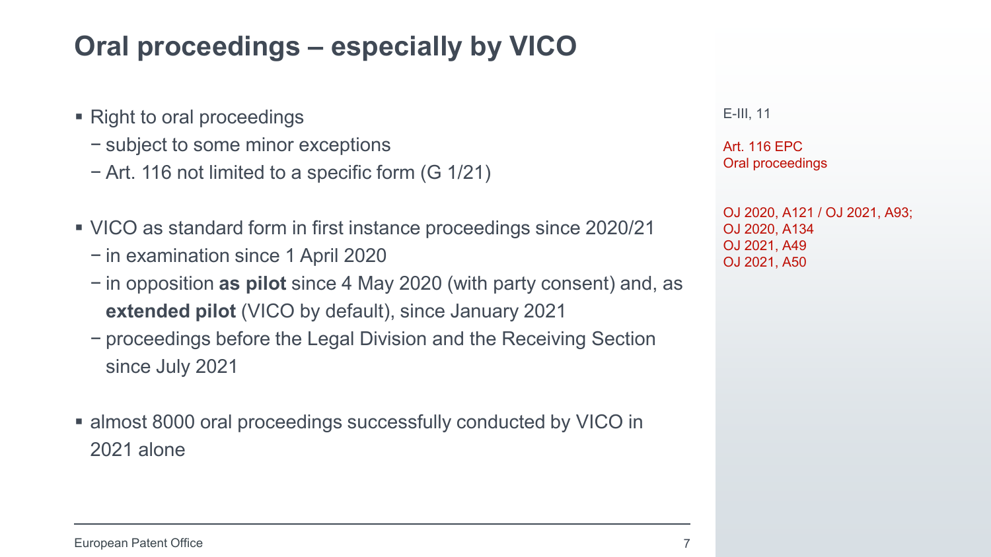### **Oral proceedings – especially by VICO**

- Right to oral proceedings
	- − subject to some minor exceptions
	- − Art. 116 not limited to a specific form (G 1/21)
- VICO as standard form in first instance proceedings since 2020/21
	- − in examination since 1 April 2020
	- − in opposition **as pilot** since 4 May 2020 (with party consent) and, as **extended pilot** (VICO by default), since January 2021
	- − proceedings before the Legal Division and the Receiving Section since July 2021
- almost 8000 oral proceedings successfully conducted by VICO in 2021 alone

E-III, 11

Art. 116 EPC Oral proceedings

OJ 2020, A121 / OJ 2021, A93; OJ 2020, A134 OJ 2021, A49 OJ 2021, A50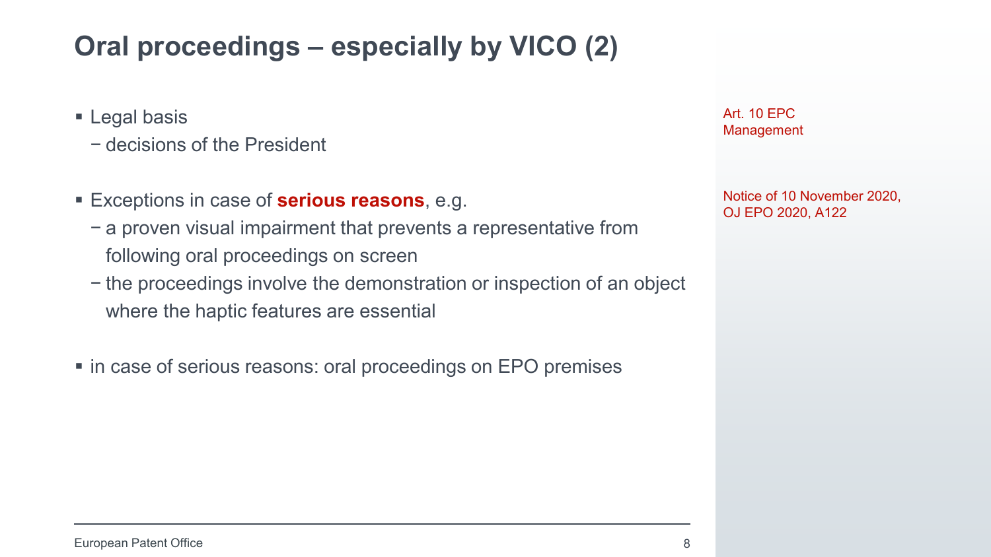### **Oral proceedings – especially by VICO (2)**

- **Legal basis** 
	- − decisions of the President
- Exceptions in case of **serious reasons**, e.g.
	- − a proven visual impairment that prevents a representative from following oral proceedings on screen
	- − the proceedings involve the demonstration or inspection of an object where the haptic features are essential
- in case of serious reasons: oral proceedings on EPO premises

Art. 10 EPC Management

Notice of 10 November 2020, OJ EPO 2020, A122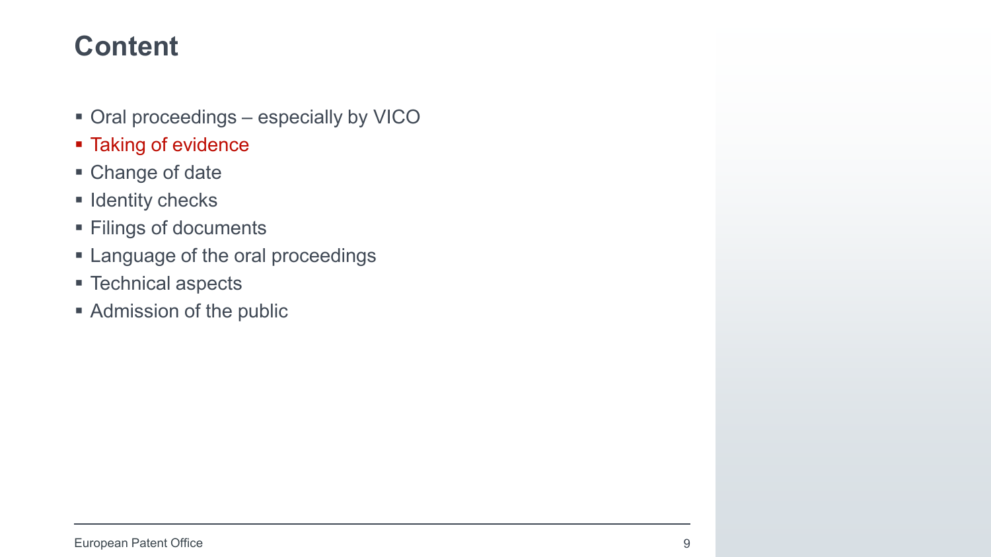- Oral proceedings especially by VICO
- **Taking of evidence**
- Change of date
- $\blacksquare$  Identity checks
- **Filings of documents**
- **Example 2** Language of the oral proceedings
- Technical aspects
- **Admission of the public**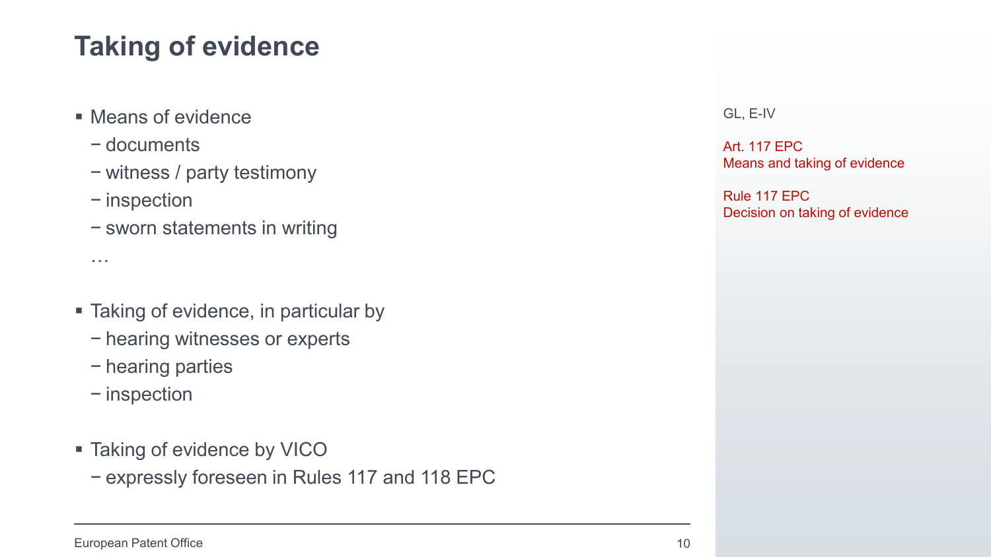## **Taking of evidence**

- Means of evidence
	- − documents
	- − witness / party testimony
	- − inspection

…

− sworn statements in writing

- Taking of evidence, in particular by
	- − hearing witnesses or experts
	- − hearing parties
	- − inspection
- Taking of evidence by VICO
	- − expressly foreseen in Rules 117 and 118 EPC

GL, E-IV

Art. 117 EPC Means and taking of evidence

Rule 117 EPC Decision on taking of evidence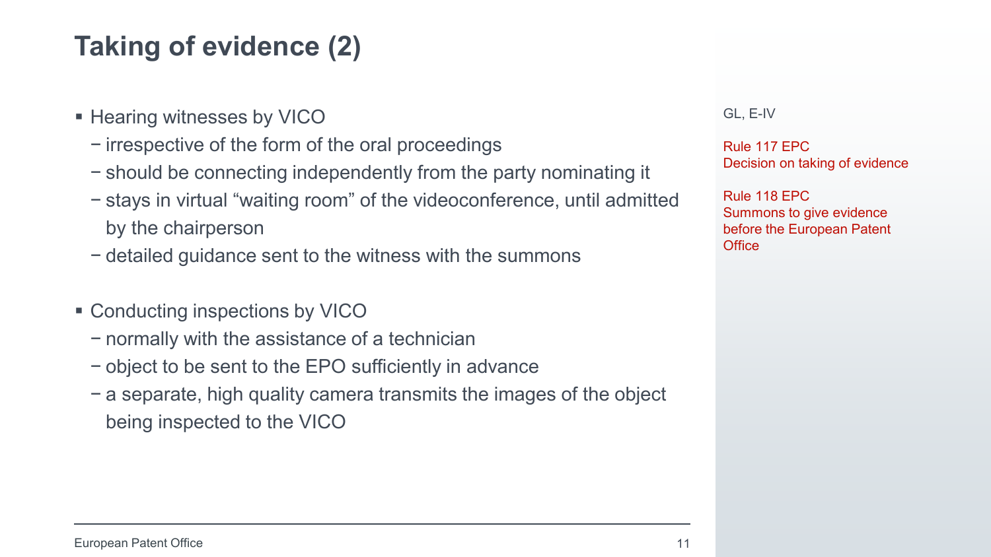### **Taking of evidence (2)**

- **Hearing witnesses by VICO** 
	- − irrespective of the form of the oral proceedings
	- − should be connecting independently from the party nominating it
	- − stays in virtual "waiting room" of the videoconference, until admitted by the chairperson
	- − detailed guidance sent to the witness with the summons
- Conducting inspections by VICO
	- − normally with the assistance of a technician
	- − object to be sent to the EPO sufficiently in advance
	- − a separate, high quality camera transmits the images of the object being inspected to the VICO

GL, E-IV

Rule 117 EPC Decision on taking of evidence

Rule 118 EPC Summons to give evidence before the European Patent **Office**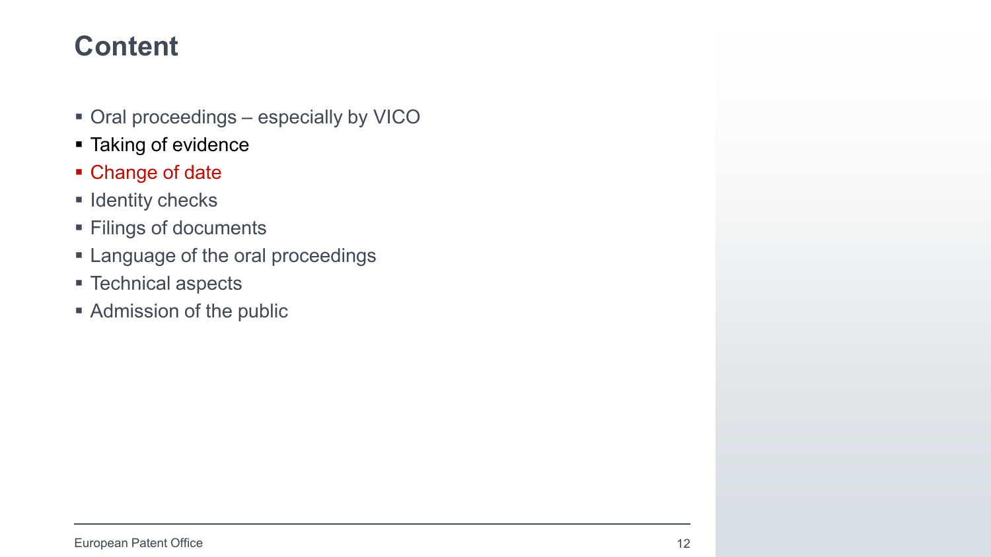- Oral proceedings especially by VICO
- Taking of evidence
- Change of date
- $\blacksquare$  Identity checks
- **Filings of documents**
- **Example 2** Language of the oral proceedings
- Technical aspects
- **Admission of the public**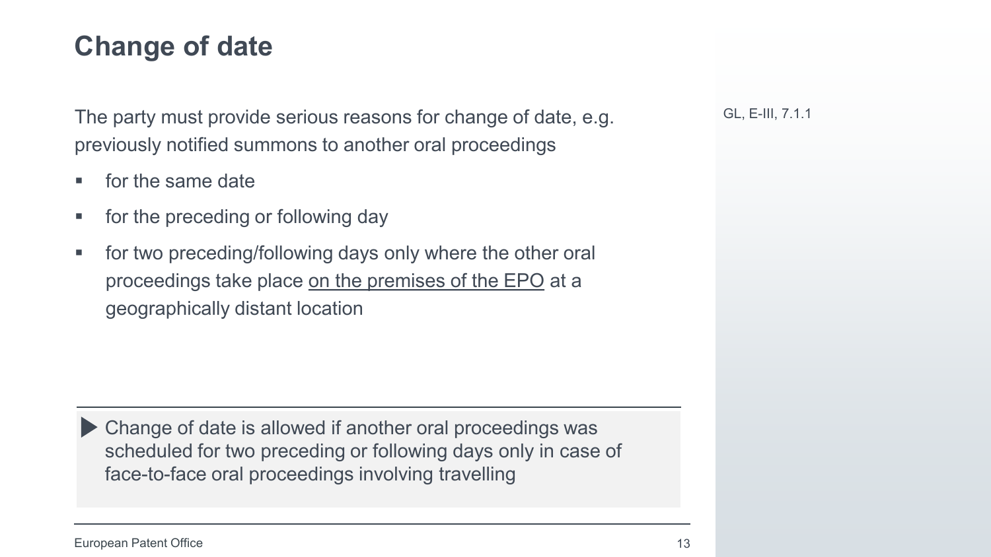### **Change of date**

The party must provide serious reasons for change of date, e.g. previously notified summons to another oral proceedings

- **for the same date**
- for the preceding or following day
- **for two preceding/following days only where the other oral** proceedings take place on the premises of the EPO at a geographically distant location

Change of date is allowed if another oral proceedings was scheduled for two preceding or following days only in case of face-to-face oral proceedings involving travelling

GL, E-III, 7.1.1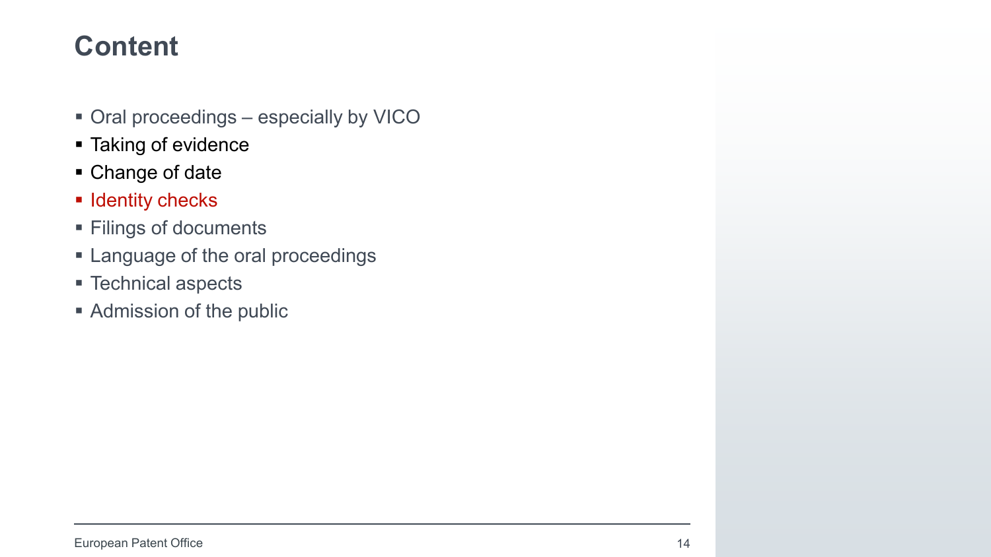- Oral proceedings especially by VICO
- **Taking of evidence**
- Change of date
- $\blacksquare$  Identity checks
- **Filings of documents**
- **Example 2** Language of the oral proceedings
- Technical aspects
- **Admission of the public**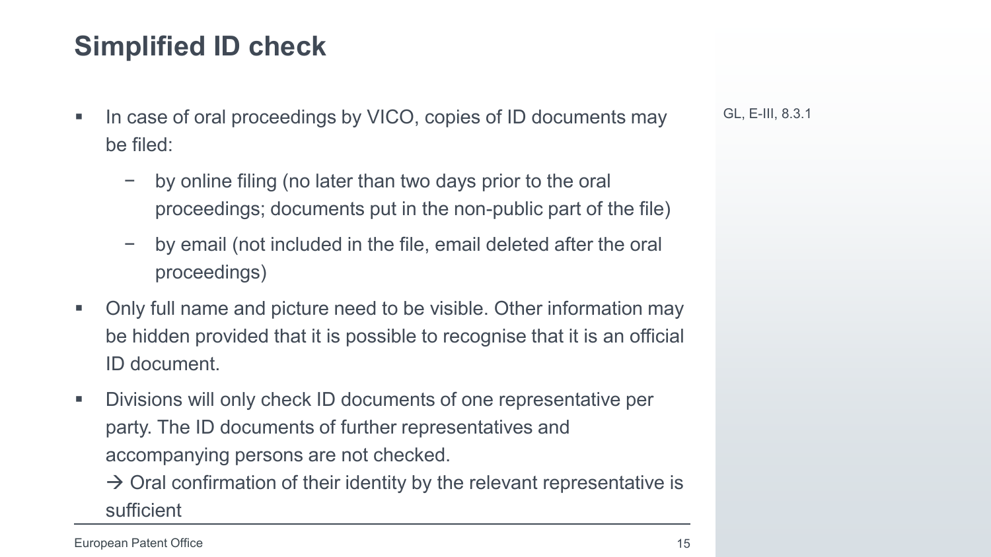### **Simplified ID check**

- In case of oral proceedings by VICO, copies of ID documents may be filed:
	- − by online filing (no later than two days prior to the oral proceedings; documents put in the non-public part of the file)
	- − by email (not included in the file, email deleted after the oral proceedings)
- Only full name and picture need to be visible. Other information may be hidden provided that it is possible to recognise that it is an official ID document.
- Divisions will only check ID documents of one representative per party. The ID documents of further representatives and accompanying persons are not checked.

 $\rightarrow$  Oral confirmation of their identity by the relevant representative is sufficient

GL, E-III, 8.3.1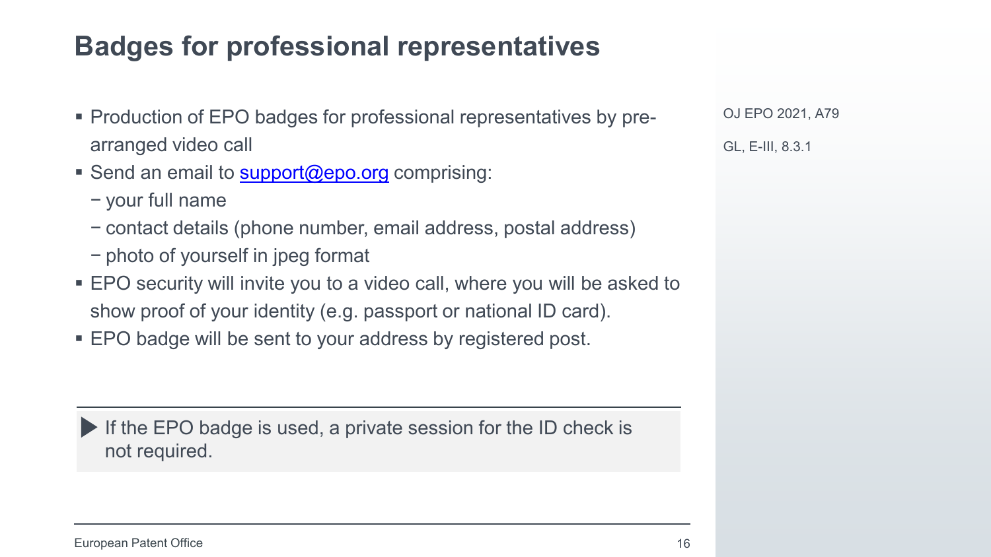### **Badges for professional representatives**

- Production of EPO badges for professional representatives by prearranged video call
- Send an email to [support@epo.org](mailto:support@epo.org) comprising:
	- − your full name
	- − contact details (phone number, email address, postal address)
	- − photo of yourself in jpeg format
- EPO security will invite you to a video call, where you will be asked to show proof of your identity (e.g. passport or national ID card).
- **EPO badge will be sent to your address by registered post.**

If the EPO badge is used, a private session for the ID check is not required.

OJ EPO 2021, A79 GL, E-III, 8.3.1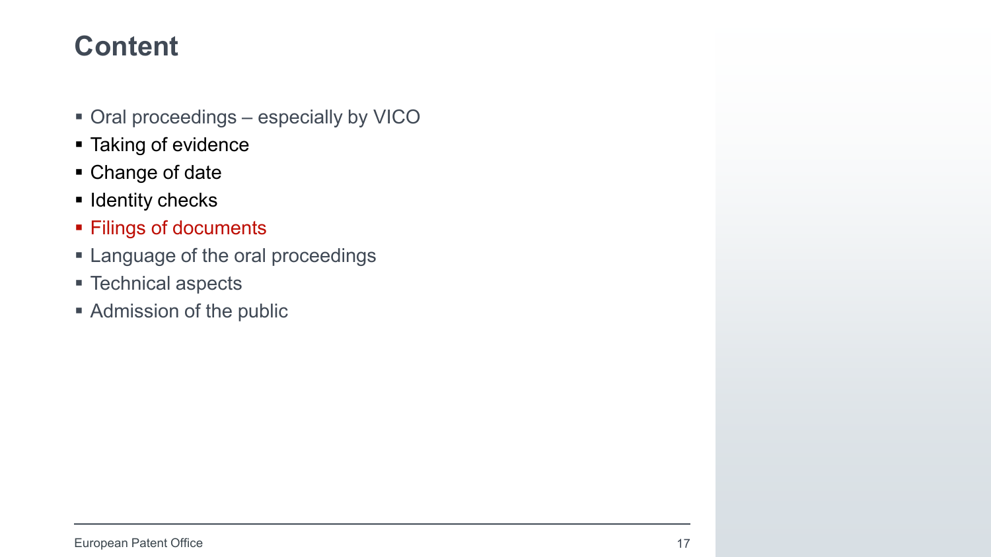- Oral proceedings especially by VICO
- **Taking of evidence**
- Change of date
- $\blacksquare$  Identity checks
- **Filings of documents**
- **Example 2** Language of the oral proceedings
- Technical aspects
- **Admission of the public**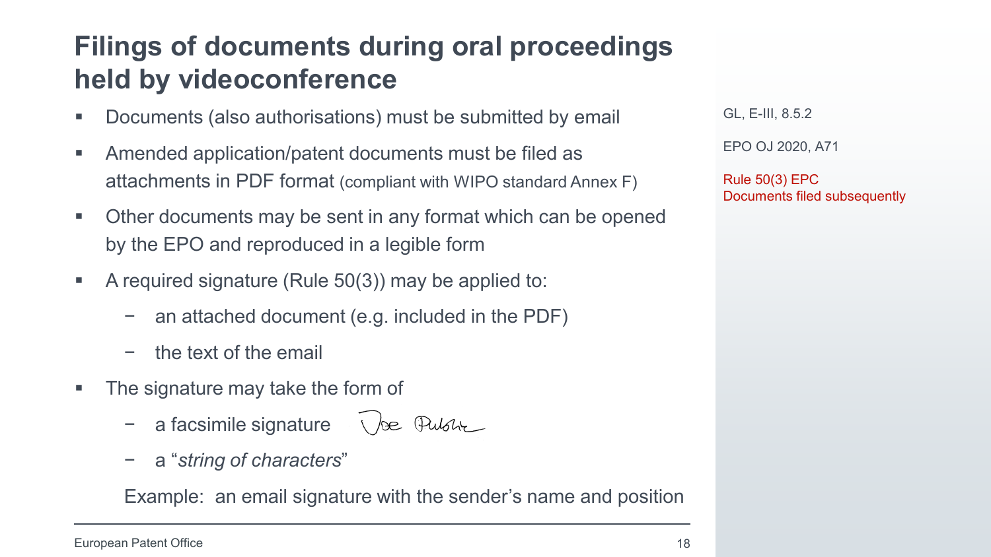### **Filings of documents during oral proceedings held by videoconference**

- Documents (also authorisations) must be submitted by email
- Amended application/patent documents must be filed as attachments in PDF format (compliant with WIPO standard Annex F)
- Other documents may be sent in any format which can be opened by the EPO and reproduced in a legible form
- A required signature (Rule  $50(3)$ ) may be applied to:
	- an attached document (e.g. included in the PDF)
	- − the text of the email
- The signature may take the form of
	- a facsimile signature  $\sqrt{e^{2}}$  Pulsh
	- − a "*string of characters*"

Example: an email signature with the sender's name and position

GL, E-III, 8.5.2

EPO OJ 2020, A71

Rule 50(3) EPC Documents filed subsequently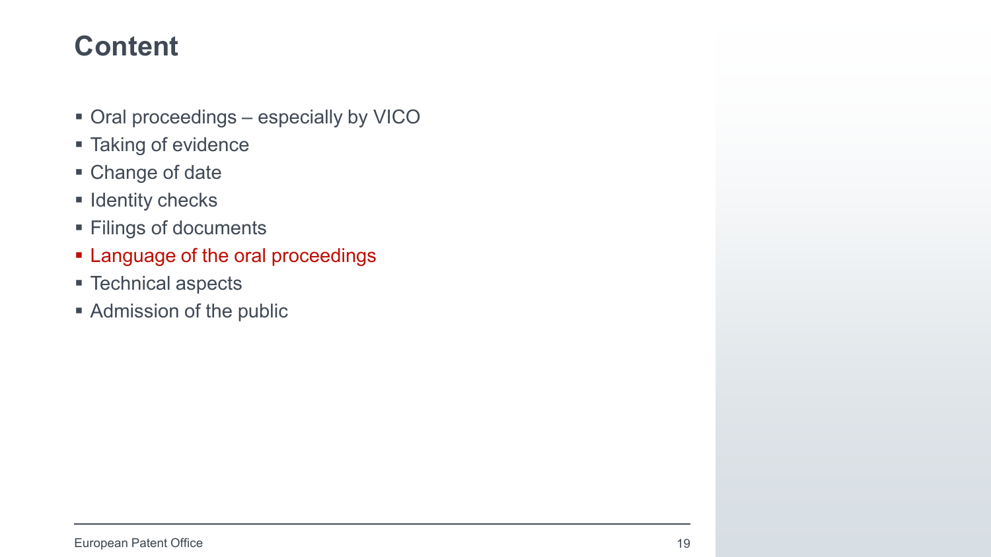- Oral proceedings especially by VICO
- **Taking of evidence**
- Change of date
- $\blacksquare$  Identity checks
- **Filings of documents**
- **Example 20 Feraid Englisher Contains 1.5 Feraid Example 2.5 Feraid Englishers**
- Technical aspects
- **Admission of the public**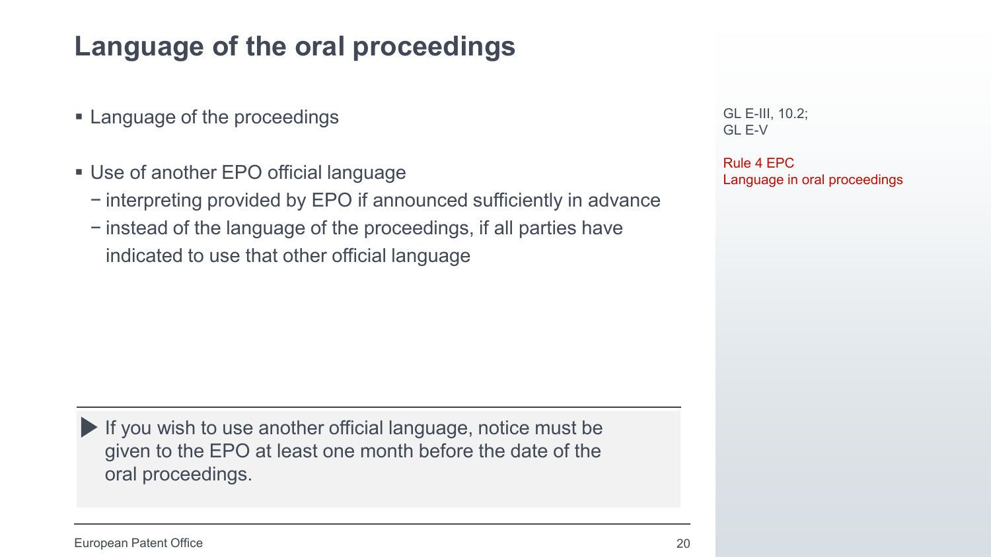### **Language of the oral proceedings**

- Language of the proceedings
- Use of another EPO official language
	- − interpreting provided by EPO if announced sufficiently in advance
	- − instead of the language of the proceedings, if all parties have indicated to use that other official language

GL E-III, 10.2; GL E-V

Rule 4 EPC Language in oral proceedings

If you wish to use another official language, notice must be given to the EPO at least one month before the date of the oral proceedings.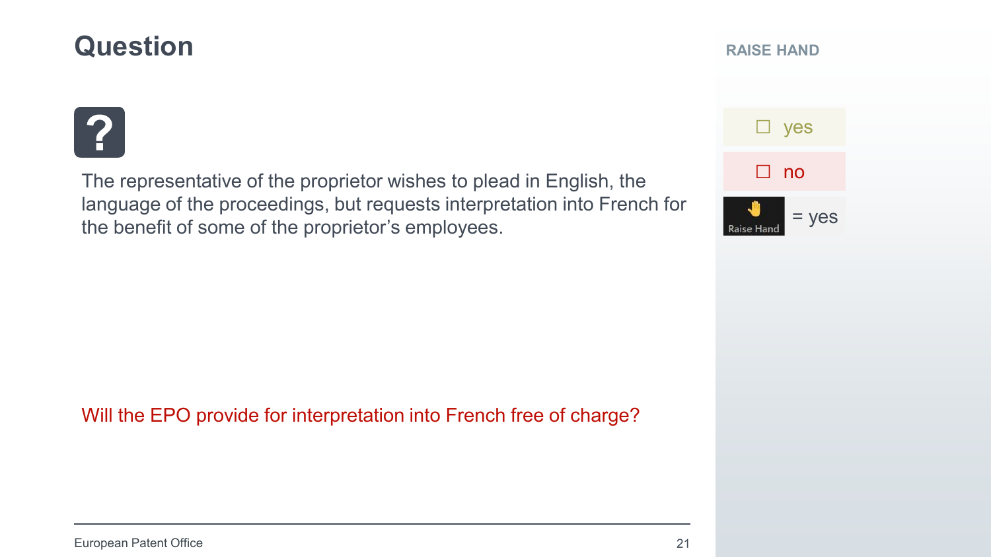### **Question**

#### **RAISE HAND**



The representative of the proprietor wishes to plead in English, the language of the proceedings, but requests interpretation into French for the benefit of some of the proprietor's employees.

 $=$  yes □ no

Raise Han

□ yes

Will the EPO provide for interpretation into French free of charge?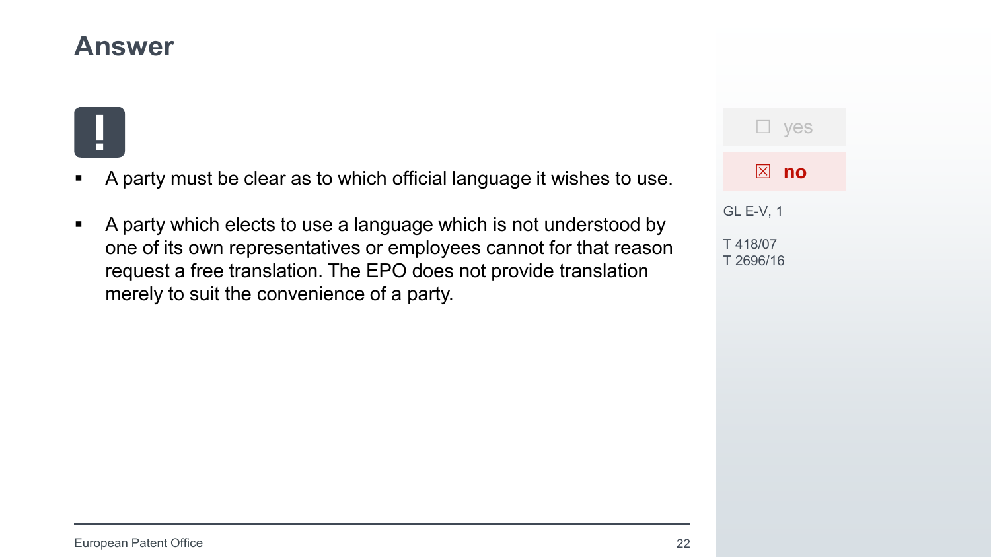### **Answer**

- A party must be clear as to which official language it wishes to use.
- A party which elects to use a language which is not understood by one of its own representatives or employees cannot for that reason request a free translation. The EPO does not provide translation merely to suit the convenience of a party.

| <b>Lyes</b>          |
|----------------------|
| $\boxtimes$ no       |
| <b>GL E-V, 1</b>     |
| T418/07<br>T 2696/16 |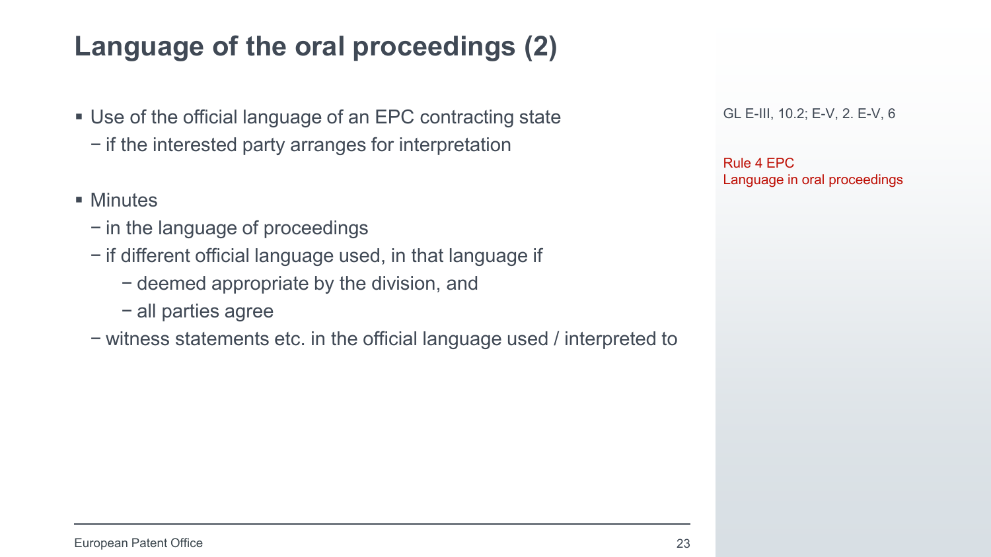### **Language of the oral proceedings (2)**

- Use of the official language of an EPC contracting state
	- − if the interested party arranges for interpretation
- **Minutes** 
	- − in the language of proceedings
	- − if different official language used, in that language if
		- − deemed appropriate by the division, and
		- − all parties agree
	- − witness statements etc. in the official language used / interpreted to

GL E-III, 10.2; E-V, 2. E-V, 6

Rule 4 EPC Language in oral proceedings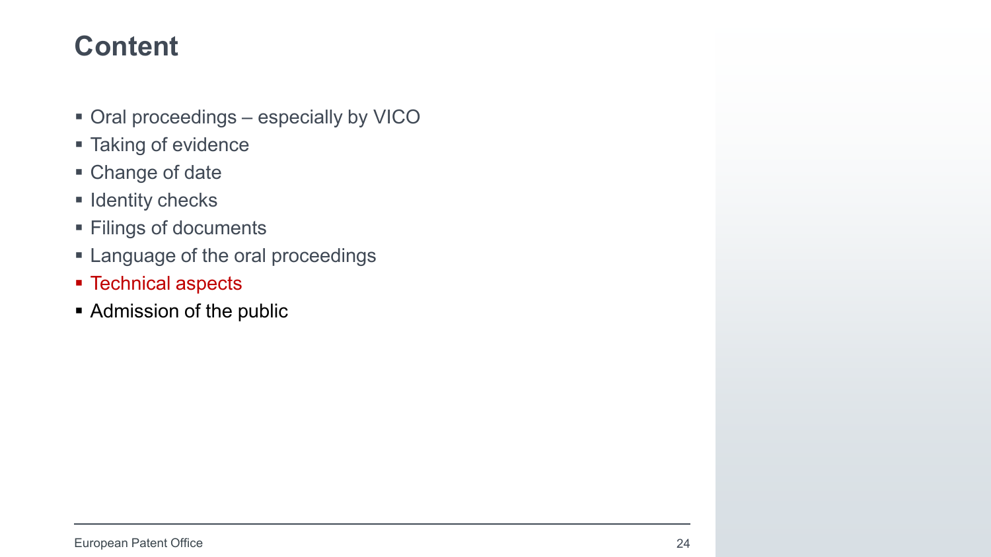- Oral proceedings especially by VICO
- **Taking of evidence**
- Change of date
- $\blacksquare$  Identity checks
- **Filings of documents**
- **Example 2** Language of the oral proceedings
- **F** Technical aspects
- **Admission of the public**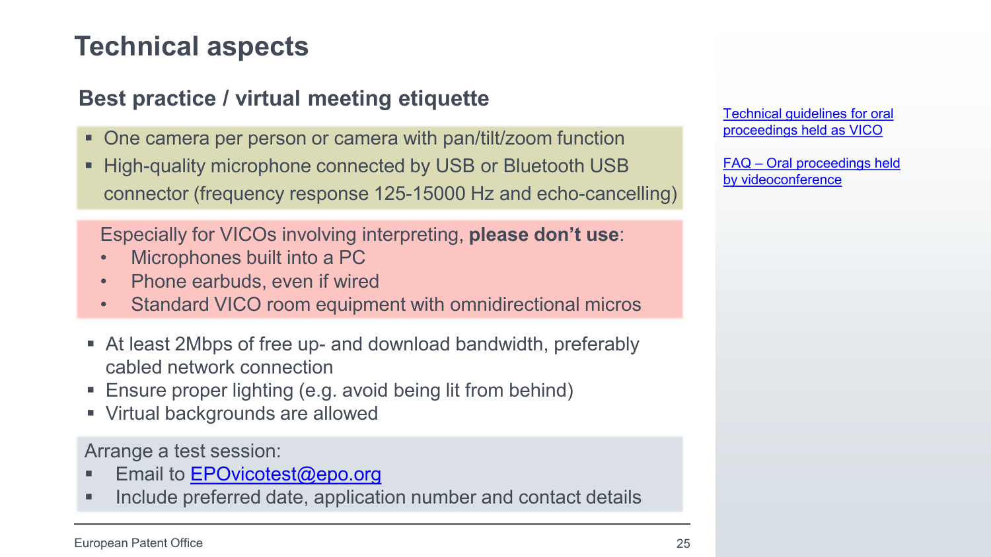### **Technical aspects**

### **Best practice / virtual meeting etiquette**

- One camera per person or camera with pan/tilt/zoom function
- **EXAMPLE High-quality microphone connected by USB or Bluetooth USB** connector (frequency response 125-15000 Hz and echo-cancelling)

Especially for VICOs involving interpreting, **please don't use**:

- Microphones built into a PC
- Phone earbuds, even if wired
- Standard VICO room equipment with omnidirectional micros
- At least 2Mbps of free up- and download bandwidth, preferably cabled network connection
- Ensure proper lighting (e.g. avoid being lit from behind)
- Virtual backgrounds are allowed

Arrange a test session:

- Email to  $EPOvicotest@epo.org$
- **Include preferred date, application number and contact details**

[Technical guidelines for oral](https://www.epo.org/applying/online-services/proceedings/technical-guidelines.html) proceedings held as VICO

FAQ – [Oral proceedings held](https://www.epo.org/service-support/faq/procedure-law/oral-proceedings-by-videoconference.html) by videoconference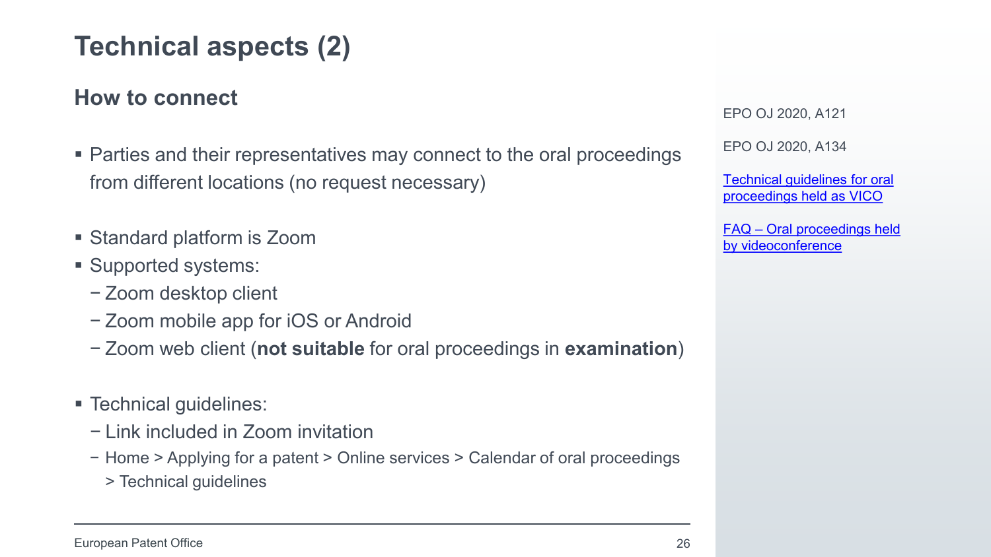### **Technical aspects (2)**

#### **How to connect**

- Parties and their representatives may connect to the oral proceedings from different locations (no request necessary)
- Standard platform is Zoom
- Supported systems:
	- − Zoom desktop client
	- − Zoom mobile app for iOS or Android
	- − Zoom web client (**not suitable** for oral proceedings in **examination**)
- **Technical quidelines:** 
	- − Link included in Zoom invitation
	- − Home > Applying for a patent > Online services > Calendar of oral proceedings
		- > Technical guidelines

EPO OJ 2020, A121

EPO OJ 2020, A134

[Technical guidelines for oral](https://www.epo.org/applying/online-services/proceedings/technical-guidelines.html) proceedings held as VICO

FAQ – [Oral proceedings held](https://www.epo.org/service-support/faq/procedure-law/oral-proceedings-by-videoconference.html) by videoconference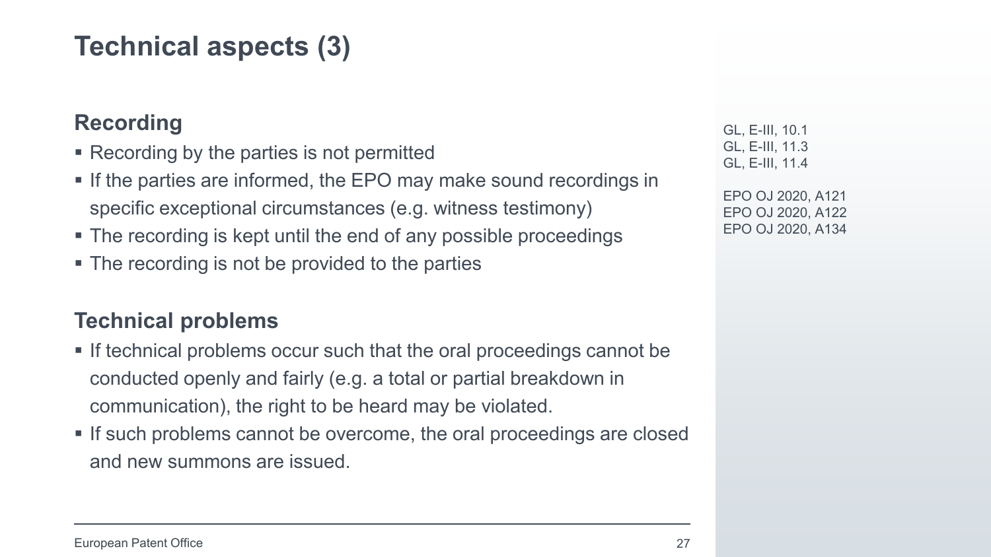### **Technical aspects (3)**

#### **Recording**

- Recording by the parties is not permitted
- **If the parties are informed, the EPO may make sound recordings in** specific exceptional circumstances (e.g. witness testimony)
- The recording is kept until the end of any possible proceedings
- The recording is not be provided to the parties

#### **Technical problems**

- If technical problems occur such that the oral proceedings cannot be conducted openly and fairly (e.g. a total or partial breakdown in communication), the right to be heard may be violated.
- If such problems cannot be overcome, the oral proceedings are closed and new summons are issued.

GL, E-III, 10.1 GL, E-III, 11.3 GL, E-III, 11.4

EPO OJ 2020, A121 EPO OJ 2020, A122 EPO OJ 2020, A134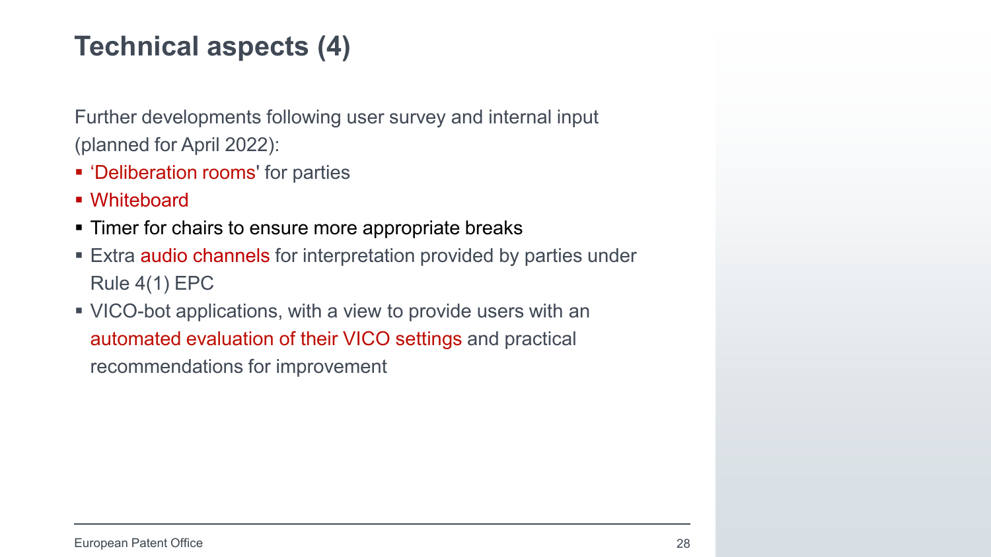### **Technical aspects (4)**

Further developments following user survey and internal input (planned for April 2022):

- 'Deliberation rooms' for parties
- Whiteboard
- **Timer for chairs to ensure more appropriate breaks**
- **Extra audio channels for interpretation provided by parties under** Rule 4(1) EPC
- VICO-bot applications, with a view to provide users with an automated evaluation of their VICO settings and practical recommendations for improvement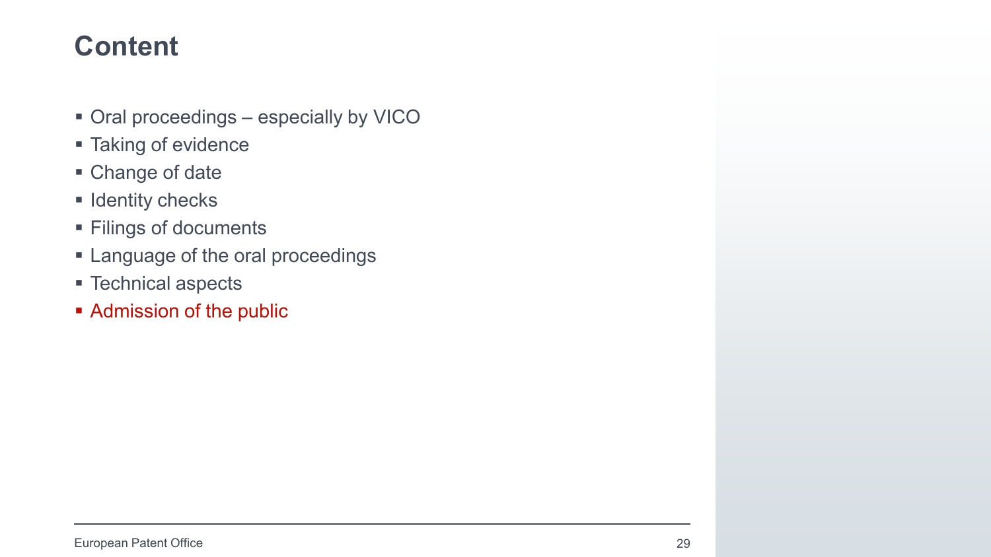- Oral proceedings especially by VICO
- **Taking of evidence**
- Change of date
- $\blacksquare$  Identity checks
- **Filings of documents**
- **Example 2** Language of the oral proceedings
- Technical aspects
- **Admission of the public**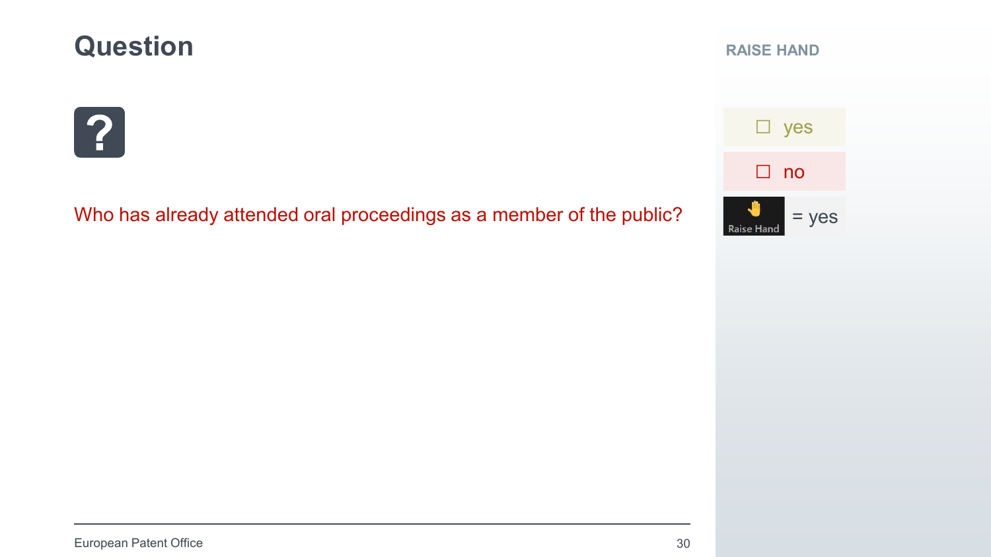### **Question**

#### **RAISE HAND**



Who has already attended oral proceedings as a member of the public?

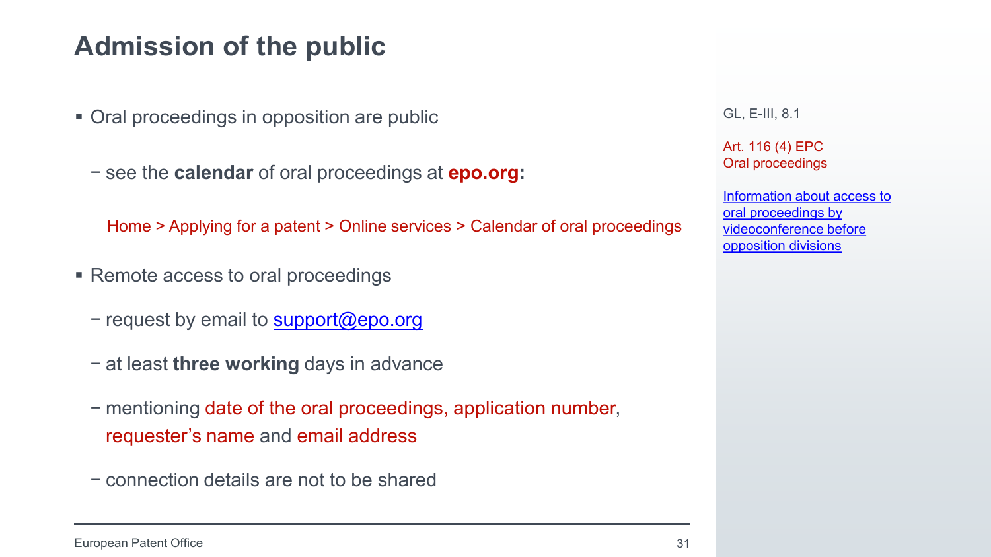### **Admission of the public**

- Oral proceedings in opposition are public
	- − see the **calendar** of oral proceedings at **epo.org:**

Home > Applying for a patent > Online services > Calendar of oral proceedings

- Remote access to oral proceedings
	- − request by email to [support@epo.org](mailto:support@epo.org)
	- − at least **three working** days in advance
	- − mentioning date of the oral proceedings, application number, requester's name and email address
	- − connection details are not to be shared

GL, E-III, 8.1

Art. 116 (4) EPC Oral proceedings

[Information about access to](https://www.epo.org/applying/online-services/proceedings/public-access.html)  oral proceedings by videoconference before opposition divisions